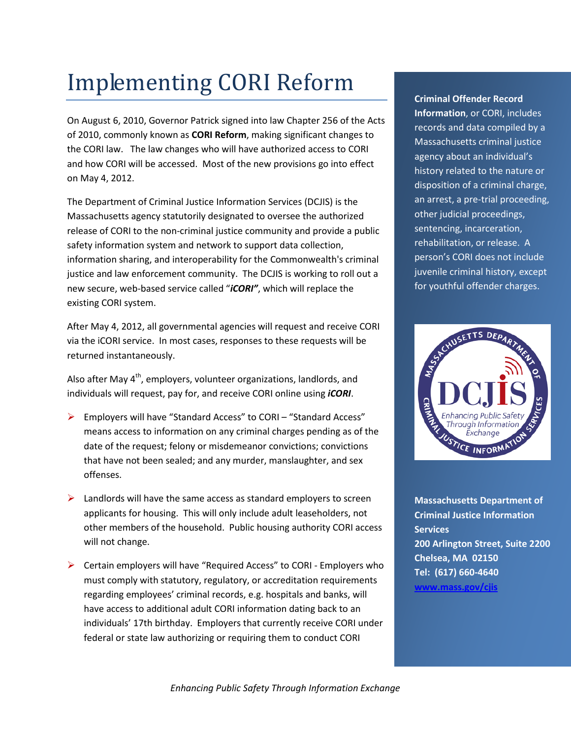## Implementing CORI Reform

On August 6, 2010, Governor Patrick signed into law Chapter 256 of the Acts of 2010, commonly known as **CORI Reform**, making significant changes to the CORI law. The law changes who will have authorized access to CORI and how CORI will be accessed. Most of the new provisions go into effect on May 4, 2012.

The Department of Criminal Justice Information Services (DCJIS) is the Massachusetts agency statutorily designated to oversee the authorized release of CORI to the non-criminal justice community and provide a public safety information system and network to support data collection, information sharing, and interoperability for the Commonwealth's criminal justice and law enforcement community. The DCJIS is working to roll out a new secure, web-based service called "*iCORI"*, which will replace the existing CORI system.

After May 4, 2012, all governmental agencies will request and receive CORI via the iCORI service. In most cases, responses to these requests will be returned instantaneously.

Also after May  $4<sup>th</sup>$ , employers, volunteer organizations, landlords, and individuals will request, pay for, and receive CORI online using *iCORI*.

- Employers will have "Standard Access" to CORI "Standard Access" means access to information on any criminal charges pending as of the date of the request; felony or misdemeanor convictions; convictions that have not been sealed; and any murder, manslaughter, and sex offenses.
- $\triangleright$  Landlords will have the same access as standard employers to screen applicants for housing. This will only include adult leaseholders, not other members of the household. Public housing authority CORI access will not change.
- $\triangleright$  Certain employers will have "Required Access" to CORI Employers who must comply with statutory, regulatory, or accreditation requirements regarding employees' criminal records, e.g. hospitals and banks, will have access to additional adult CORI information dating back to an individuals' 17th birthday. Employers that currently receive CORI under federal or state law authorizing or requiring them to conduct CORI

**Criminal Offender Record Information**, or CORI, includes records and data compiled by a Massachusetts criminal justice agency about an individual's history related to the nature or disposition of a criminal charge, an arrest, a pre-trial proceeding, other judicial proceedings, sentencing, incarceration, rehabilitation, or release. A person's CORI does not include juvenile criminal history, except for youthful offender charges.



**Massachusetts Department of Criminal Justice Information Services 200 Arlington Street, Suite 2200 Chelsea, MA 02150 Tel: (617) 660-4640 [www.mass.gov/cjis](http://www.mass.gov/cjis)**

*Enhancing Public Safety Through Information Exchange*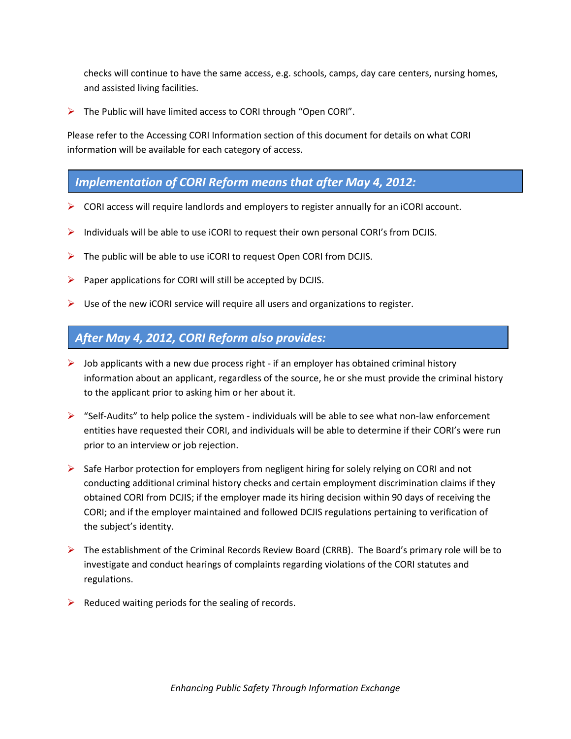checks will continue to have the same access, e.g. schools, camps, day care centers, nursing homes, and assisted living facilities.

 $\triangleright$  The Public will have limited access to CORI through "Open CORI".

Please refer to the Accessing CORI Information section of this document for details on what CORI information will be available for each category of access.

## *Implementation of CORI Reform means that after May 4, 2012:*

- $\triangleright$  CORI access will require landlords and employers to register annually for an iCORI account.
- $\triangleright$  Individuals will be able to use iCORI to request their own personal CORI's from DCJIS.
- $\triangleright$  The public will be able to use iCORI to request Open CORI from DCJIS.
- $\triangleright$  Paper applications for CORI will still be accepted by DCJIS.
- $\triangleright$  Use of the new iCORI service will require all users and organizations to register.

## *After May 4, 2012, CORI Reform also provides:*

- $\triangleright$  Job applicants with a new due process right if an employer has obtained criminal history information about an applicant, regardless of the source, he or she must provide the criminal history to the applicant prior to asking him or her about it.
- $\triangleright$  "Self-Audits" to help police the system individuals will be able to see what non-law enforcement entities have requested their CORI, and individuals will be able to determine if their CORI's were run prior to an interview or job rejection.
- $\triangleright$  Safe Harbor protection for employers from negligent hiring for solely relying on CORI and not conducting additional criminal history checks and certain employment discrimination claims if they obtained CORI from DCJIS; if the employer made its hiring decision within 90 days of receiving the CORI; and if the employer maintained and followed DCJIS regulations pertaining to verification of the subject's identity.
- ▶ The establishment of the Criminal Records Review Board (CRRB). The Board's primary role will be to investigate and conduct hearings of complaints regarding violations of the CORI statutes and regulations.
- $\triangleright$  Reduced waiting periods for the sealing of records.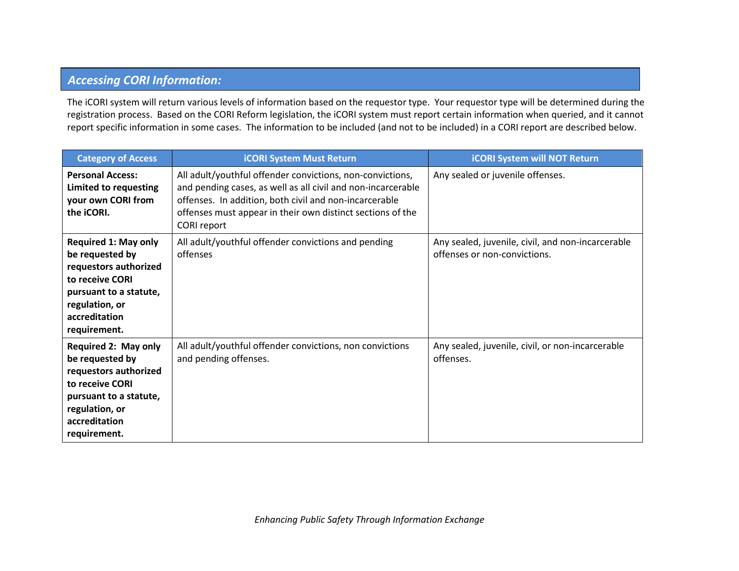## *Accessing CORI Information:*

The iCORI system will return various levels of information based on the requestor type. Your requestor type will be determined during the registration process. Based on the CORI Reform legislation, the iCORI system must report certain information when queried, and it cannot report specific information in some cases. The information to be included (and not to be included) in a CORI report are described below.

| <b>Category of Access</b>                                                                                                                                               | <b>iCORI System Must Return</b>                                                                                                                                                                                                                                  | <b>iCORI System will NOT Return</b>                                               |
|-------------------------------------------------------------------------------------------------------------------------------------------------------------------------|------------------------------------------------------------------------------------------------------------------------------------------------------------------------------------------------------------------------------------------------------------------|-----------------------------------------------------------------------------------|
| <b>Personal Access:</b><br>Limited to requesting<br>your own CORI from<br>the iCORI.                                                                                    | All adult/youthful offender convictions, non-convictions,<br>and pending cases, as well as all civil and non-incarcerable<br>offenses. In addition, both civil and non-incarcerable<br>offenses must appear in their own distinct sections of the<br>CORI report | Any sealed or juvenile offenses.                                                  |
| <b>Required 1: May only</b><br>be requested by<br>requestors authorized<br>to receive CORI<br>pursuant to a statute,<br>regulation, or<br>accreditation<br>requirement. | All adult/youthful offender convictions and pending<br>offenses                                                                                                                                                                                                  | Any sealed, juvenile, civil, and non-incarcerable<br>offenses or non-convictions. |
| <b>Required 2: May only</b><br>be requested by<br>requestors authorized<br>to receive CORI<br>pursuant to a statute,<br>regulation, or<br>accreditation<br>requirement. | All adult/youthful offender convictions, non convictions<br>and pending offenses.                                                                                                                                                                                | Any sealed, juvenile, civil, or non-incarcerable<br>offenses.                     |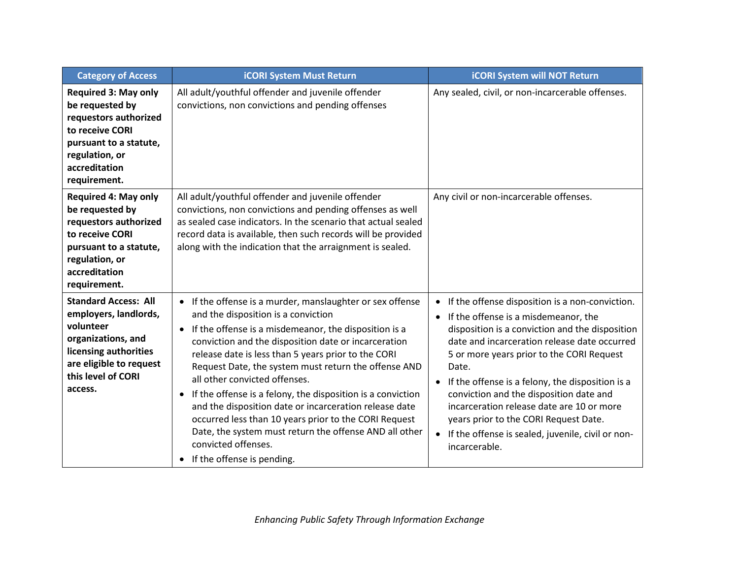| <b>Category of Access</b>                                                                                                                                                    | <b>iCORI System Must Return</b>                                                                                                                                                                                                                                                                                                                                                                                                                                                                                                                                                                                                                                                                           | <b>iCORI System will NOT Return</b>                                                                                                                                                                                                                                                                                                                                                                                                                                                                                                                  |
|------------------------------------------------------------------------------------------------------------------------------------------------------------------------------|-----------------------------------------------------------------------------------------------------------------------------------------------------------------------------------------------------------------------------------------------------------------------------------------------------------------------------------------------------------------------------------------------------------------------------------------------------------------------------------------------------------------------------------------------------------------------------------------------------------------------------------------------------------------------------------------------------------|------------------------------------------------------------------------------------------------------------------------------------------------------------------------------------------------------------------------------------------------------------------------------------------------------------------------------------------------------------------------------------------------------------------------------------------------------------------------------------------------------------------------------------------------------|
| <b>Required 3: May only</b><br>be requested by<br>requestors authorized<br>to receive CORI<br>pursuant to a statute,<br>regulation, or<br>accreditation<br>requirement.      | All adult/youthful offender and juvenile offender<br>convictions, non convictions and pending offenses                                                                                                                                                                                                                                                                                                                                                                                                                                                                                                                                                                                                    | Any sealed, civil, or non-incarcerable offenses.                                                                                                                                                                                                                                                                                                                                                                                                                                                                                                     |
| <b>Required 4: May only</b><br>be requested by<br>requestors authorized<br>to receive CORI<br>pursuant to a statute,<br>regulation, or<br>accreditation<br>requirement.      | All adult/youthful offender and juvenile offender<br>convictions, non convictions and pending offenses as well<br>as sealed case indicators. In the scenario that actual sealed<br>record data is available, then such records will be provided<br>along with the indication that the arraignment is sealed.                                                                                                                                                                                                                                                                                                                                                                                              | Any civil or non-incarcerable offenses.                                                                                                                                                                                                                                                                                                                                                                                                                                                                                                              |
| <b>Standard Access: All</b><br>employers, landlords,<br>volunteer<br>organizations, and<br>licensing authorities<br>are eligible to request<br>this level of CORI<br>access. | • If the offense is a murder, manslaughter or sex offense<br>and the disposition is a conviction<br>If the offense is a misdemeanor, the disposition is a<br>$\bullet$<br>conviction and the disposition date or incarceration<br>release date is less than 5 years prior to the CORI<br>Request Date, the system must return the offense AND<br>all other convicted offenses.<br>If the offense is a felony, the disposition is a conviction<br>$\bullet$<br>and the disposition date or incarceration release date<br>occurred less than 10 years prior to the CORI Request<br>Date, the system must return the offense AND all other<br>convicted offenses.<br>If the offense is pending.<br>$\bullet$ | If the offense disposition is a non-conviction.<br>$\bullet$<br>If the offense is a misdemeanor, the<br>$\bullet$<br>disposition is a conviction and the disposition<br>date and incarceration release date occurred<br>5 or more years prior to the CORI Request<br>Date.<br>• If the offense is a felony, the disposition is a<br>conviction and the disposition date and<br>incarceration release date are 10 or more<br>years prior to the CORI Request Date.<br>If the offense is sealed, juvenile, civil or non-<br>$\bullet$<br>incarcerable. |